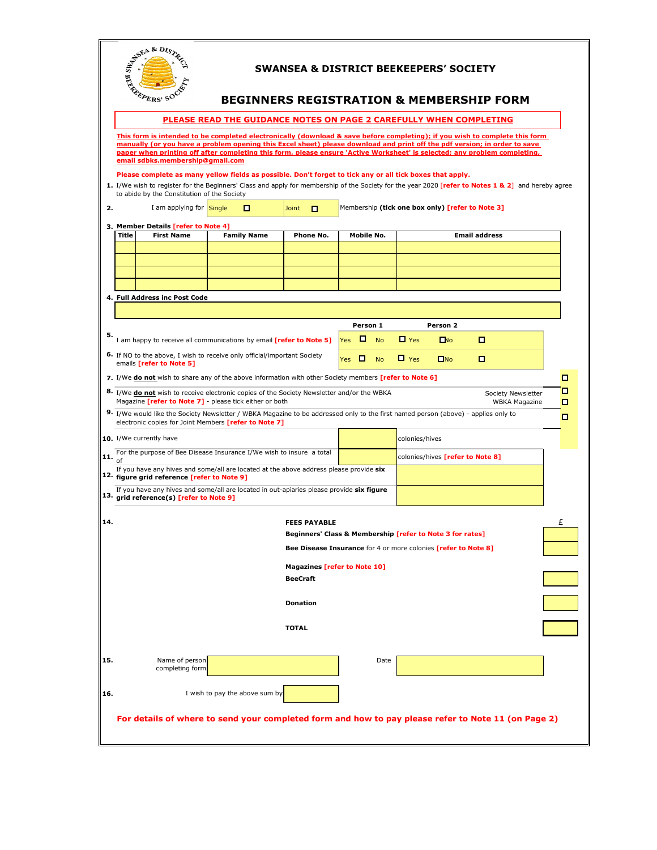|     | AREA & DISTR<br><b>SWANSEA &amp; DISTRICT BEEKEEPERS' SOCIETY</b><br><b>BEGINNERS REGISTRATION &amp; MEMBERSHIP FORM</b>                                                                                                                                                                                                                                                                                                  |                                                          |                                                                                                       |                                                                                  |            |                                         |                |              |                      |   |  |
|-----|---------------------------------------------------------------------------------------------------------------------------------------------------------------------------------------------------------------------------------------------------------------------------------------------------------------------------------------------------------------------------------------------------------------------------|----------------------------------------------------------|-------------------------------------------------------------------------------------------------------|----------------------------------------------------------------------------------|------------|-----------------------------------------|----------------|--------------|----------------------|---|--|
|     | PLEASE READ THE GUIDANCE NOTES ON PAGE 2 CAREFULLY WHEN COMPLETING                                                                                                                                                                                                                                                                                                                                                        |                                                          |                                                                                                       |                                                                                  |            |                                         |                |              |                      |   |  |
|     | This form is intended to be completed electronically (download & save before completing); if you wish to complete this form<br>manually (or you have a problem opening this Excel sheet) please download and print off the pdf version; in order to save<br>paper when printing off after completing this form, please ensure 'Active Worksheet' is selected; any problem completing,<br>email sdbks.membership@gmail.com |                                                          |                                                                                                       |                                                                                  |            |                                         |                |              |                      |   |  |
|     | Please complete as many yellow fields as possible. Don't forget to tick any or all tick boxes that apply.<br>1. I/We wish to register for the Beginners' Class and apply for membership of the Society for the year 2020 [refer to Notes 1 & 2] and hereby agree<br>to abide by the Constitution of the Society                                                                                                           |                                                          |                                                                                                       |                                                                                  |            |                                         |                |              |                      |   |  |
| 2.  | Membership (tick one box only) [refer to Note 3]<br>I am applying for Single<br>о<br>$\Box$<br>Joint                                                                                                                                                                                                                                                                                                                      |                                                          |                                                                                                       |                                                                                  |            |                                         |                |              |                      |   |  |
|     | <b>Title</b>                                                                                                                                                                                                                                                                                                                                                                                                              | 3. Member Details [refer to Note 4]<br><b>First Name</b> | <b>Family Name</b>                                                                                    | Phone No.                                                                        | Mobile No. |                                         |                |              | <b>Email address</b> |   |  |
|     |                                                                                                                                                                                                                                                                                                                                                                                                                           |                                                          |                                                                                                       |                                                                                  |            |                                         |                |              |                      |   |  |
|     |                                                                                                                                                                                                                                                                                                                                                                                                                           |                                                          |                                                                                                       |                                                                                  |            |                                         |                |              |                      |   |  |
|     |                                                                                                                                                                                                                                                                                                                                                                                                                           |                                                          |                                                                                                       |                                                                                  |            |                                         |                |              |                      |   |  |
|     |                                                                                                                                                                                                                                                                                                                                                                                                                           |                                                          |                                                                                                       |                                                                                  |            |                                         |                |              |                      |   |  |
|     |                                                                                                                                                                                                                                                                                                                                                                                                                           | 4. Full Address inc Post Code                            |                                                                                                       |                                                                                  |            |                                         |                |              |                      |   |  |
|     |                                                                                                                                                                                                                                                                                                                                                                                                                           |                                                          |                                                                                                       |                                                                                  |            |                                         |                |              |                      |   |  |
|     |                                                                                                                                                                                                                                                                                                                                                                                                                           |                                                          |                                                                                                       |                                                                                  | Person 1   |                                         |                | Person 2     |                      |   |  |
| 5.  |                                                                                                                                                                                                                                                                                                                                                                                                                           |                                                          |                                                                                                       |                                                                                  | O<br>Yes   | <b>No</b>                               | $\Box$ Yes     | $\Box$       | O                    |   |  |
|     | I am happy to receive all communications by email [refer to Note 5]<br>6. If NO to the above, I wish to receive only official/important Society<br>Yes<br>emails [refer to Note 5]                                                                                                                                                                                                                                        |                                                          |                                                                                                       |                                                                                  |            | <b>No</b>                               | $\Box$ Yes     | $\square$ No | о                    |   |  |
|     |                                                                                                                                                                                                                                                                                                                                                                                                                           |                                                          | 7. I/We donot wish to share any of the above information with other Society members [refer to Note 6] |                                                                                  |            |                                         |                |              |                      | □ |  |
|     |                                                                                                                                                                                                                                                                                                                                                                                                                           |                                                          |                                                                                                       |                                                                                  |            |                                         |                |              |                      | □ |  |
|     | 8. I/We do not wish to receive electronic copies of the Society Newsletter and/or the WBKA<br>Society Newsletter<br>Magazine [refer to Note 7] - please tick either or both<br><b>WBKA Magazine</b><br>О                                                                                                                                                                                                                  |                                                          |                                                                                                       |                                                                                  |            |                                         |                |              |                      |   |  |
|     | 9. I/We would like the Society Newsletter / WBKA Magazine to be addressed only to the first named person (above) - applies only to<br>О<br>electronic copies for Joint Members [refer to Note 7]                                                                                                                                                                                                                          |                                                          |                                                                                                       |                                                                                  |            |                                         |                |              |                      |   |  |
|     | 10. I/We currently have                                                                                                                                                                                                                                                                                                                                                                                                   |                                                          |                                                                                                       |                                                                                  |            |                                         | colonies/hives |              |                      |   |  |
| 11. | For the purpose of Bee Disease Insurance I/We wish to insure a total                                                                                                                                                                                                                                                                                                                                                      |                                                          |                                                                                                       |                                                                                  |            | colonies/hives <b>[refer to Note 8]</b> |                |              |                      |   |  |
|     | of<br>If you have any hives and some/all are located at the above address please provide six<br>12. figure grid reference [refer to Note 9]                                                                                                                                                                                                                                                                               |                                                          |                                                                                                       |                                                                                  |            |                                         |                |              |                      |   |  |
|     | If you have any hives and some/all are located in out-apiaries please provide six figure<br>13. grid reference(s) [refer to Note 9]                                                                                                                                                                                                                                                                                       |                                                          |                                                                                                       |                                                                                  |            |                                         |                |              |                      |   |  |
|     |                                                                                                                                                                                                                                                                                                                                                                                                                           |                                                          |                                                                                                       |                                                                                  |            |                                         |                |              |                      |   |  |
| 14. |                                                                                                                                                                                                                                                                                                                                                                                                                           |                                                          |                                                                                                       | <b>FEES PAYABLE</b><br>Beginners' Class & Membership [refer to Note 3 for rates] |            |                                         |                |              |                      | Ł |  |
|     |                                                                                                                                                                                                                                                                                                                                                                                                                           |                                                          |                                                                                                       |                                                                                  |            |                                         |                |              |                      |   |  |
|     |                                                                                                                                                                                                                                                                                                                                                                                                                           |                                                          |                                                                                                       | Bee Disease Insurance for 4 or more colonies [refer to Note 8]                   |            |                                         |                |              |                      |   |  |
|     | <b>Magazines [refer to Note 10]</b>                                                                                                                                                                                                                                                                                                                                                                                       |                                                          |                                                                                                       |                                                                                  |            |                                         |                |              |                      |   |  |
|     |                                                                                                                                                                                                                                                                                                                                                                                                                           |                                                          |                                                                                                       | <b>BeeCraft</b>                                                                  |            |                                         |                |              |                      |   |  |
|     | <b>Donation</b>                                                                                                                                                                                                                                                                                                                                                                                                           |                                                          |                                                                                                       |                                                                                  |            |                                         |                |              |                      |   |  |
|     |                                                                                                                                                                                                                                                                                                                                                                                                                           | <b>TOTAL</b>                                             |                                                                                                       |                                                                                  |            |                                         |                |              |                      |   |  |
|     |                                                                                                                                                                                                                                                                                                                                                                                                                           |                                                          |                                                                                                       |                                                                                  |            |                                         |                |              |                      |   |  |
| 15. |                                                                                                                                                                                                                                                                                                                                                                                                                           | Name of person<br>completing form                        |                                                                                                       |                                                                                  |            | Date                                    |                |              |                      |   |  |
| 16. |                                                                                                                                                                                                                                                                                                                                                                                                                           |                                                          | I wish to pay the above sum by                                                                        |                                                                                  |            |                                         |                |              |                      |   |  |
|     |                                                                                                                                                                                                                                                                                                                                                                                                                           |                                                          |                                                                                                       |                                                                                  |            |                                         |                |              |                      |   |  |
|     | For details of where to send your completed form and how to pay please refer to Note 11 (on Page 2)                                                                                                                                                                                                                                                                                                                       |                                                          |                                                                                                       |                                                                                  |            |                                         |                |              |                      |   |  |